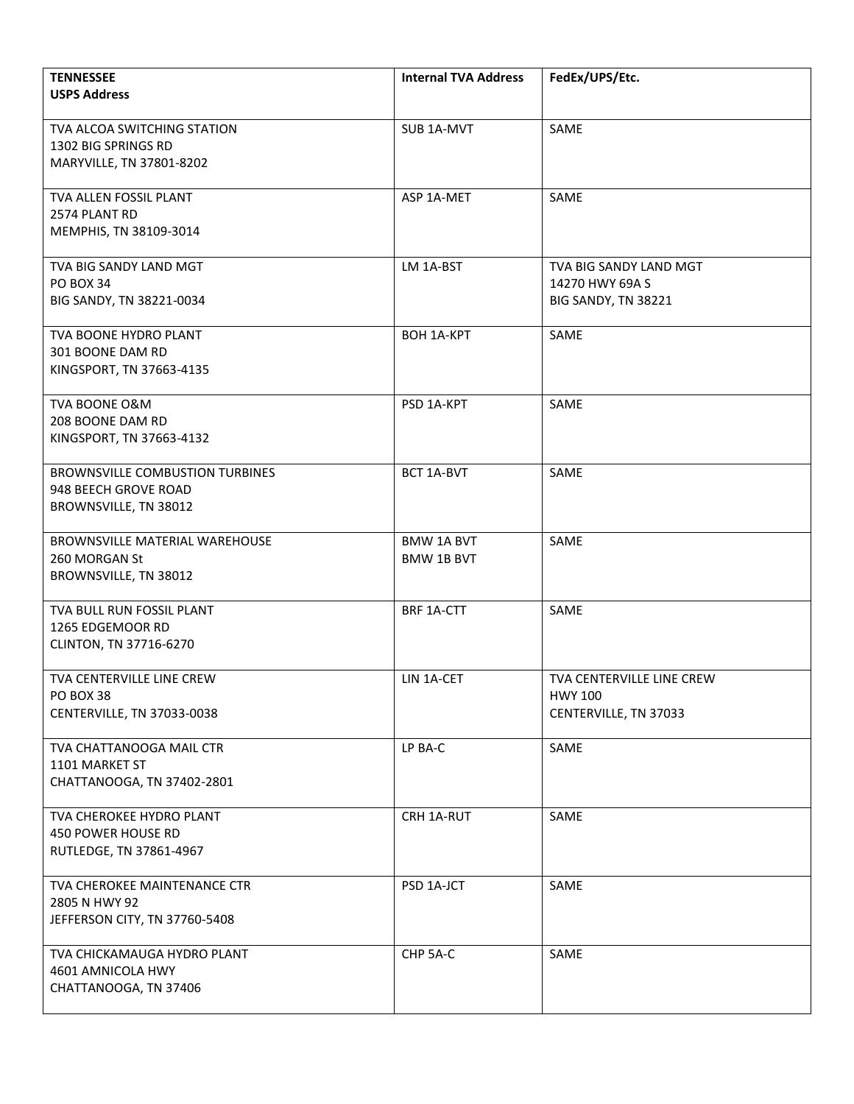| <b>TENNESSEE</b>                                               | <b>Internal TVA Address</b>            | FedEx/UPS/Etc.            |
|----------------------------------------------------------------|----------------------------------------|---------------------------|
| <b>USPS Address</b>                                            |                                        |                           |
| TVA ALCOA SWITCHING STATION                                    | SUB 1A-MVT                             | SAME                      |
| 1302 BIG SPRINGS RD<br>MARYVILLE, TN 37801-8202                |                                        |                           |
|                                                                |                                        |                           |
| TVA ALLEN FOSSIL PLANT<br>2574 PLANT RD                        | ASP 1A-MET                             | SAME                      |
| MEMPHIS, TN 38109-3014                                         |                                        |                           |
| TVA BIG SANDY LAND MGT                                         | LM 1A-BST                              | TVA BIG SANDY LAND MGT    |
| <b>PO BOX 34</b>                                               |                                        | 14270 HWY 69A S           |
| BIG SANDY, TN 38221-0034                                       |                                        | BIG SANDY, TN 38221       |
| TVA BOONE HYDRO PLANT                                          | <b>BOH 1A-KPT</b>                      | SAME                      |
| 301 BOONE DAM RD                                               |                                        |                           |
| KINGSPORT, TN 37663-4135                                       |                                        |                           |
| TVA BOONE O&M                                                  | PSD 1A-KPT                             | SAME                      |
| 208 BOONE DAM RD<br>KINGSPORT, TN 37663-4132                   |                                        |                           |
|                                                                |                                        |                           |
| <b>BROWNSVILLE COMBUSTION TURBINES</b><br>948 BEECH GROVE ROAD | BCT 1A-BVT                             | SAME                      |
| BROWNSVILLE, TN 38012                                          |                                        |                           |
|                                                                |                                        |                           |
| BROWNSVILLE MATERIAL WAREHOUSE<br>260 MORGAN St                | <b>BMW 1A BVT</b><br><b>BMW 1B BVT</b> | SAME                      |
| BROWNSVILLE, TN 38012                                          |                                        |                           |
| TVA BULL RUN FOSSIL PLANT                                      | BRF 1A-CTT                             | SAME                      |
| 1265 EDGEMOOR RD                                               |                                        |                           |
| CLINTON, TN 37716-6270                                         |                                        |                           |
| TVA CENTERVILLE LINE CREW                                      | LIN 1A-CET                             | TVA CENTERVILLE LINE CREW |
| PO BOX 38                                                      |                                        | <b>HWY 100</b>            |
| CENTERVILLE, TN 37033-0038                                     |                                        | CENTERVILLE, TN 37033     |
| TVA CHATTANOOGA MAIL CTR                                       | LP BA-C                                | SAME                      |
| 1101 MARKET ST<br>CHATTANOOGA, TN 37402-2801                   |                                        |                           |
|                                                                |                                        |                           |
| TVA CHEROKEE HYDRO PLANT<br>450 POWER HOUSE RD                 | CRH 1A-RUT                             | SAME                      |
| RUTLEDGE, TN 37861-4967                                        |                                        |                           |
|                                                                |                                        |                           |
| TVA CHEROKEE MAINTENANCE CTR<br>2805 N HWY 92                  | PSD 1A-JCT                             | SAME                      |
| JEFFERSON CITY, TN 37760-5408                                  |                                        |                           |
|                                                                |                                        |                           |
| TVA CHICKAMAUGA HYDRO PLANT<br>4601 AMNICOLA HWY               | CHP 5A-C                               | SAME                      |
| CHATTANOOGA, TN 37406                                          |                                        |                           |
|                                                                |                                        |                           |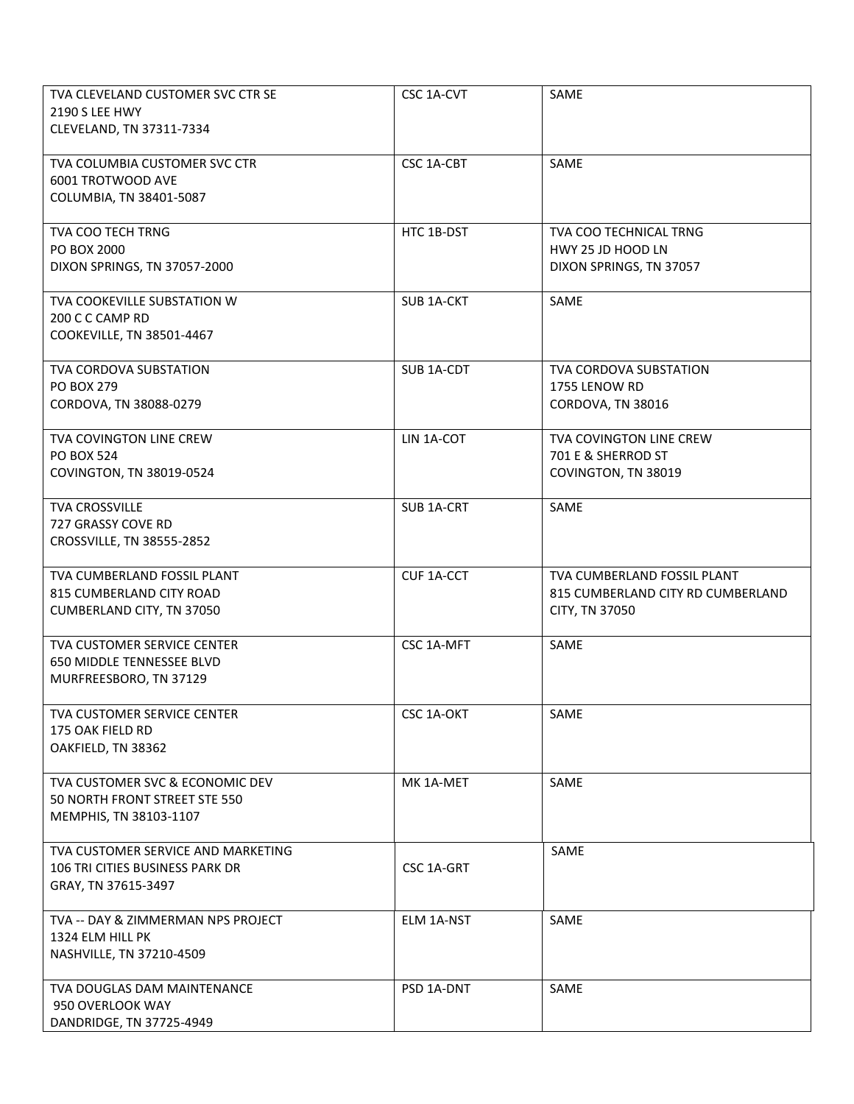| TVA CLEVELAND CUSTOMER SVC CTR SE                  | CSC 1A-CVT        | SAME                              |
|----------------------------------------------------|-------------------|-----------------------------------|
| 2190 S LEE HWY                                     |                   |                                   |
| CLEVELAND, TN 37311-7334                           |                   |                                   |
|                                                    |                   |                                   |
| TVA COLUMBIA CUSTOMER SVC CTR<br>6001 TROTWOOD AVE | CSC 1A-CBT        | SAME                              |
| COLUMBIA, TN 38401-5087                            |                   |                                   |
|                                                    |                   |                                   |
| TVA COO TECH TRNG                                  | HTC 1B-DST        | <b>TVA COO TECHNICAL TRNG</b>     |
| PO BOX 2000                                        |                   | HWY 25 JD HOOD LN                 |
| DIXON SPRINGS, TN 37057-2000                       |                   | DIXON SPRINGS, TN 37057           |
|                                                    |                   |                                   |
| TVA COOKEVILLE SUBSTATION W                        | <b>SUB 1A-CKT</b> | SAME                              |
| 200 C C CAMP RD                                    |                   |                                   |
| COOKEVILLE, TN 38501-4467                          |                   |                                   |
| TVA CORDOVA SUBSTATION                             | SUB 1A-CDT        | TVA CORDOVA SUBSTATION            |
| <b>PO BOX 279</b>                                  |                   | 1755 LENOW RD                     |
| CORDOVA, TN 38088-0279                             |                   | CORDOVA, TN 38016                 |
|                                                    |                   |                                   |
| TVA COVINGTON LINE CREW                            | LIN 1A-COT        | TVA COVINGTON LINE CREW           |
| <b>PO BOX 524</b>                                  |                   | 701 E & SHERROD ST                |
| COVINGTON, TN 38019-0524                           |                   | COVINGTON, TN 38019               |
|                                                    |                   |                                   |
| <b>TVA CROSSVILLE</b>                              | SUB 1A-CRT        | SAME                              |
| 727 GRASSY COVE RD                                 |                   |                                   |
| CROSSVILLE, TN 38555-2852                          |                   |                                   |
|                                                    |                   |                                   |
| TVA CUMBERLAND FOSSIL PLANT                        | CUF 1A-CCT        | TVA CUMBERLAND FOSSIL PLANT       |
| 815 CUMBERLAND CITY ROAD                           |                   | 815 CUMBERLAND CITY RD CUMBERLAND |
| CUMBERLAND CITY, TN 37050                          |                   | CITY, TN 37050                    |
| TVA CUSTOMER SERVICE CENTER                        | CSC 1A-MFT        | SAME                              |
| 650 MIDDLE TENNESSEE BLVD                          |                   |                                   |
| MURFREESBORO, TN 37129                             |                   |                                   |
|                                                    |                   |                                   |
| TVA CUSTOMER SERVICE CENTER                        | CSC 1A-OKT        | SAME                              |
| 175 OAK FIELD RD                                   |                   |                                   |
| OAKFIELD, TN 38362                                 |                   |                                   |
| TVA CUSTOMER SVC & ECONOMIC DEV                    | MK 1A-MET         | SAME                              |
| 50 NORTH FRONT STREET STE 550                      |                   |                                   |
| MEMPHIS, TN 38103-1107                             |                   |                                   |
|                                                    |                   |                                   |
| TVA CUSTOMER SERVICE AND MARKETING                 |                   | SAME                              |
| 106 TRI CITIES BUSINESS PARK DR                    | CSC 1A-GRT        |                                   |
| GRAY, TN 37615-3497                                |                   |                                   |
|                                                    |                   |                                   |
| TVA -- DAY & ZIMMERMAN NPS PROJECT                 | ELM 1A-NST        | SAME                              |
| 1324 ELM HILL PK                                   |                   |                                   |
| NASHVILLE, TN 37210-4509                           |                   |                                   |
| TVA DOUGLAS DAM MAINTENANCE                        | PSD 1A-DNT        | SAME                              |
| 950 OVERLOOK WAY                                   |                   |                                   |
| DANDRIDGE, TN 37725-4949                           |                   |                                   |
|                                                    |                   |                                   |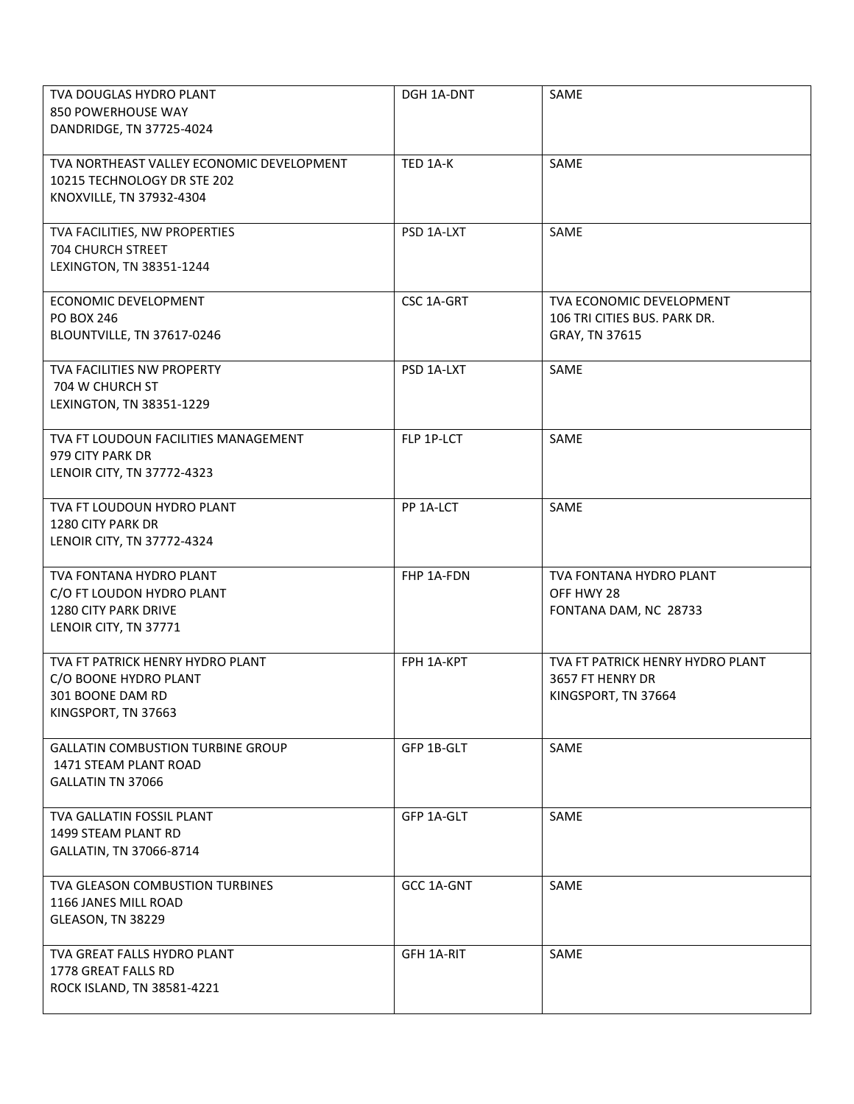| TVA DOUGLAS HYDRO PLANT<br>850 POWERHOUSE WAY<br>DANDRIDGE, TN 37725-4024                             | DGH 1A-DNT | SAME                                                                        |
|-------------------------------------------------------------------------------------------------------|------------|-----------------------------------------------------------------------------|
| TVA NORTHEAST VALLEY ECONOMIC DEVELOPMENT<br>10215 TECHNOLOGY DR STE 202<br>KNOXVILLE, TN 37932-4304  | TED 1A-K   | SAME                                                                        |
| TVA FACILITIES, NW PROPERTIES<br>704 CHURCH STREET<br>LEXINGTON, TN 38351-1244                        | PSD 1A-LXT | SAME                                                                        |
| ECONOMIC DEVELOPMENT<br><b>PO BOX 246</b><br>BLOUNTVILLE, TN 37617-0246                               | CSC 1A-GRT | TVA ECONOMIC DEVELOPMENT<br>106 TRI CITIES BUS. PARK DR.<br>GRAY, TN 37615  |
| TVA FACILITIES NW PROPERTY<br>704 W CHURCH ST<br>LEXINGTON, TN 38351-1229                             | PSD 1A-LXT | SAME                                                                        |
| TVA FT LOUDOUN FACILITIES MANAGEMENT<br>979 CITY PARK DR<br>LENOIR CITY, TN 37772-4323                | FLP 1P-LCT | SAME                                                                        |
| TVA FT LOUDOUN HYDRO PLANT<br>1280 CITY PARK DR<br>LENOIR CITY, TN 37772-4324                         | PP 1A-LCT  | SAME                                                                        |
| TVA FONTANA HYDRO PLANT<br>C/O FT LOUDON HYDRO PLANT<br>1280 CITY PARK DRIVE<br>LENOIR CITY, TN 37771 | FHP 1A-FDN | TVA FONTANA HYDRO PLANT<br>OFF HWY 28<br>FONTANA DAM, NC 28733              |
| TVA FT PATRICK HENRY HYDRO PLANT<br>C/O BOONE HYDRO PLANT<br>301 BOONE DAM RD<br>KINGSPORT, TN 37663  | FPH 1A-KPT | TVA FT PATRICK HENRY HYDRO PLANT<br>3657 FT HENRY DR<br>KINGSPORT, TN 37664 |
| <b>GALLATIN COMBUSTION TURBINE GROUP</b><br>1471 STEAM PLANT ROAD<br><b>GALLATIN TN 37066</b>         | GFP 1B-GLT | SAME                                                                        |
| TVA GALLATIN FOSSIL PLANT<br>1499 STEAM PLANT RD<br>GALLATIN, TN 37066-8714                           | GFP 1A-GLT | SAME                                                                        |
| TVA GLEASON COMBUSTION TURBINES<br>1166 JANES MILL ROAD<br>GLEASON, TN 38229                          | GCC 1A-GNT | SAME                                                                        |
| TVA GREAT FALLS HYDRO PLANT<br>1778 GREAT FALLS RD<br>ROCK ISLAND, TN 38581-4221                      | GFH 1A-RIT | SAME                                                                        |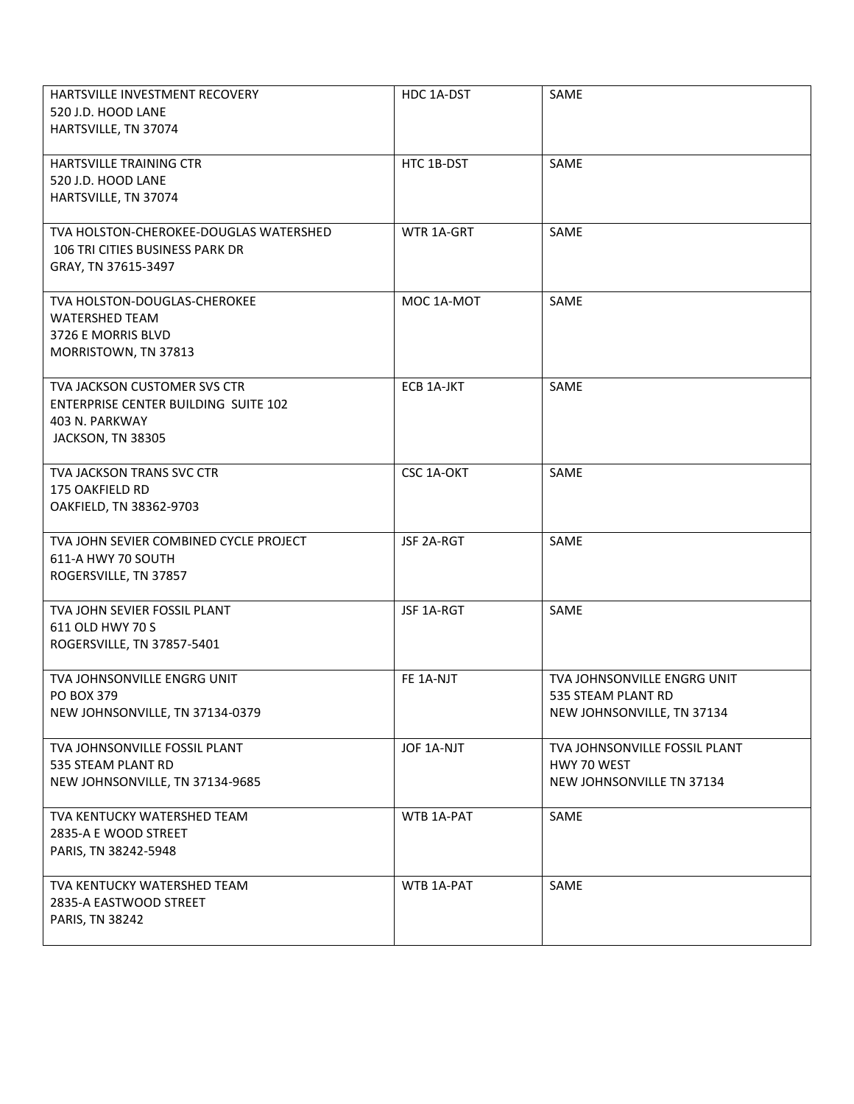| <b>HARTSVILLE INVESTMENT RECOVERY</b><br>520 J.D. HOOD LANE<br>HARTSVILLE, TN 37074                         | HDC 1A-DST | SAME                                                                            |
|-------------------------------------------------------------------------------------------------------------|------------|---------------------------------------------------------------------------------|
| HARTSVILLE TRAINING CTR<br>520 J.D. HOOD LANE<br>HARTSVILLE, TN 37074                                       | HTC 1B-DST | SAME                                                                            |
| TVA HOLSTON-CHEROKEE-DOUGLAS WATERSHED<br>106 TRI CITIES BUSINESS PARK DR<br>GRAY, TN 37615-3497            | WTR 1A-GRT | SAME                                                                            |
| TVA HOLSTON-DOUGLAS-CHEROKEE<br><b>WATERSHED TEAM</b><br>3726 E MORRIS BLVD<br>MORRISTOWN, TN 37813         | MOC 1A-MOT | SAME                                                                            |
| TVA JACKSON CUSTOMER SVS CTR<br>ENTERPRISE CENTER BUILDING SUITE 102<br>403 N. PARKWAY<br>JACKSON, TN 38305 | ECB 1A-JKT | SAME                                                                            |
| <b>TVA JACKSON TRANS SVC CTR</b><br>175 OAKFIELD RD<br>OAKFIELD, TN 38362-9703                              | CSC 1A-OKT | SAME                                                                            |
| TVA JOHN SEVIER COMBINED CYCLE PROJECT<br>611-A HWY 70 SOUTH<br>ROGERSVILLE, TN 37857                       | JSF 2A-RGT | SAME                                                                            |
| TVA JOHN SEVIER FOSSIL PLANT<br>611 OLD HWY 70 S<br>ROGERSVILLE, TN 37857-5401                              | JSF 1A-RGT | SAME                                                                            |
| TVA JOHNSONVILLE ENGRG UNIT<br>PO BOX 379<br>NEW JOHNSONVILLE, TN 37134-0379                                | FE 1A-NJT  | TVA JOHNSONVILLE ENGRG UNIT<br>535 STEAM PLANT RD<br>NEW JOHNSONVILLE, TN 37134 |
| TVA JOHNSONVILLE FOSSIL PLANT<br>535 STEAM PLANT RD<br>NEW JOHNSONVILLE, TN 37134-9685                      | JOF 1A-NJT | TVA JOHNSONVILLE FOSSIL PLANT<br>HWY 70 WEST<br>NEW JOHNSONVILLE TN 37134       |
| TVA KENTUCKY WATERSHED TEAM<br>2835-A E WOOD STREET<br>PARIS, TN 38242-5948                                 | WTB 1A-PAT | SAME                                                                            |
| TVA KENTUCKY WATERSHED TEAM<br>2835-A EASTWOOD STREET<br>PARIS, TN 38242                                    | WTB 1A-PAT | SAME                                                                            |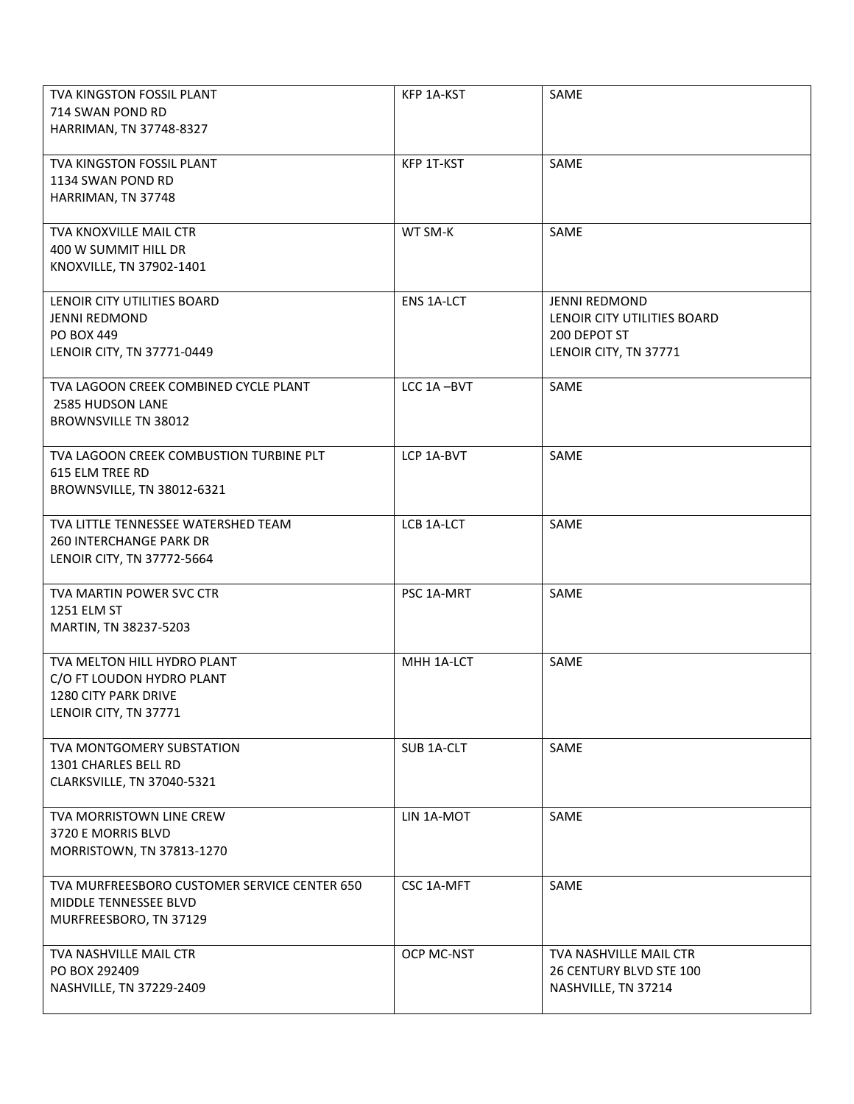| TVA KINGSTON FOSSIL PLANT<br>714 SWAN POND RD<br>HARRIMAN, TN 37748-8327                                  | KFP 1A-KST        | SAME                                                                                         |
|-----------------------------------------------------------------------------------------------------------|-------------------|----------------------------------------------------------------------------------------------|
| TVA KINGSTON FOSSIL PLANT<br>1134 SWAN POND RD<br>HARRIMAN, TN 37748                                      | KFP 1T-KST        | SAME                                                                                         |
| <b>TVA KNOXVILLE MAIL CTR</b><br>400 W SUMMIT HILL DR<br>KNOXVILLE, TN 37902-1401                         | WT SM-K           | SAME                                                                                         |
| LENOIR CITY UTILITIES BOARD<br><b>JENNI REDMOND</b><br>PO BOX 449<br>LENOIR CITY, TN 37771-0449           | <b>ENS 1A-LCT</b> | <b>JENNI REDMOND</b><br>LENOIR CITY UTILITIES BOARD<br>200 DEPOT ST<br>LENOIR CITY, TN 37771 |
| TVA LAGOON CREEK COMBINED CYCLE PLANT<br>2585 HUDSON LANE<br><b>BROWNSVILLE TN 38012</b>                  | LCC 1A-BVT        | SAME                                                                                         |
| TVA LAGOON CREEK COMBUSTION TURBINE PLT<br>615 ELM TREE RD<br>BROWNSVILLE, TN 38012-6321                  | LCP 1A-BVT        | SAME                                                                                         |
| TVA LITTLE TENNESSEE WATERSHED TEAM<br><b>260 INTERCHANGE PARK DR</b><br>LENOIR CITY, TN 37772-5664       | LCB 1A-LCT        | SAME                                                                                         |
| TVA MARTIN POWER SVC CTR<br>1251 ELM ST<br>MARTIN, TN 38237-5203                                          | PSC 1A-MRT        | SAME                                                                                         |
| TVA MELTON HILL HYDRO PLANT<br>C/O FT LOUDON HYDRO PLANT<br>1280 CITY PARK DRIVE<br>LENOIR CITY, TN 37771 | MHH 1A-LCT        | SAME                                                                                         |
| TVA MONTGOMERY SUBSTATION<br>1301 CHARLES BELL RD<br>CLARKSVILLE, TN 37040-5321                           | SUB 1A-CLT        | SAME                                                                                         |
| TVA MORRISTOWN LINE CREW<br>3720 E MORRIS BLVD<br>MORRISTOWN, TN 37813-1270                               | LIN 1A-MOT        | SAME                                                                                         |
| TVA MURFREESBORO CUSTOMER SERVICE CENTER 650<br>MIDDLE TENNESSEE BLVD<br>MURFREESBORO, TN 37129           | CSC 1A-MFT        | SAME                                                                                         |
| TVA NASHVILLE MAIL CTR<br>PO BOX 292409<br>NASHVILLE, TN 37229-2409                                       | OCP MC-NST        | TVA NASHVILLE MAIL CTR<br>26 CENTURY BLVD STE 100<br>NASHVILLE, TN 37214                     |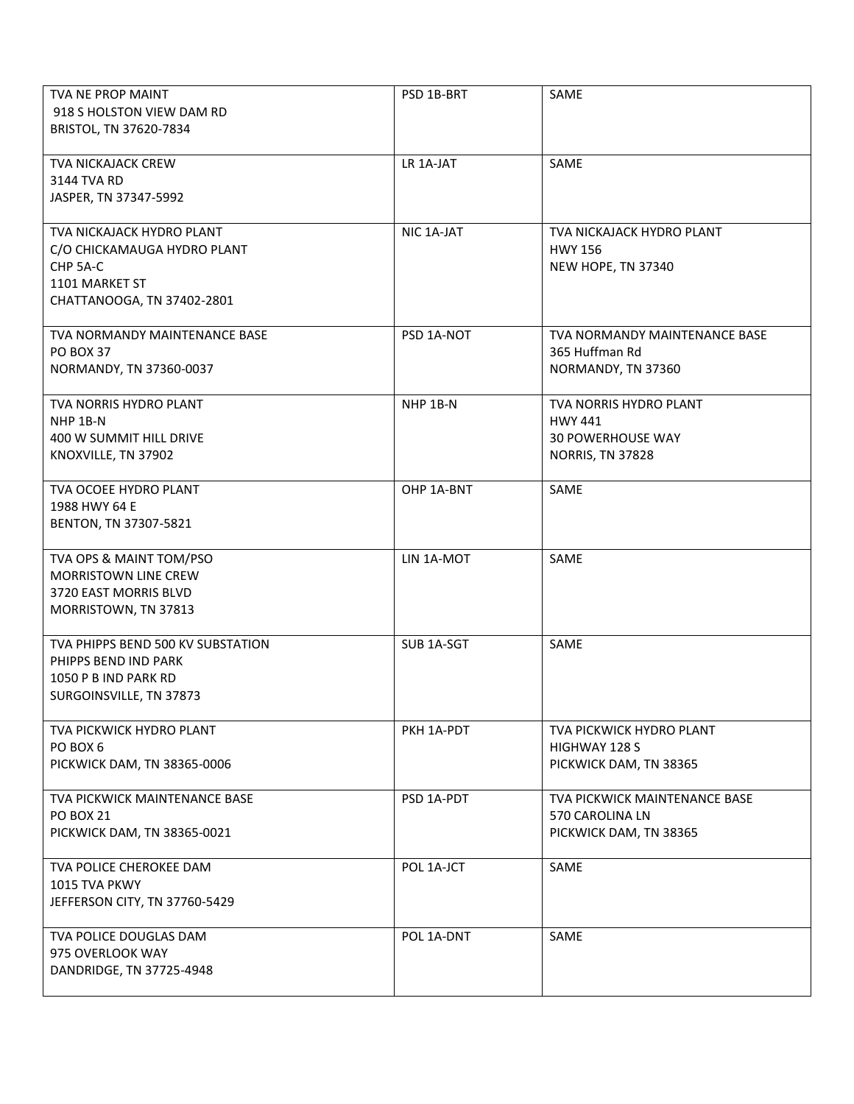| <b>TVA NE PROP MAINT</b><br>918 S HOLSTON VIEW DAM RD<br>BRISTOL, TN 37620-7834                                      | PSD 1B-BRT            | SAME                                                                                            |
|----------------------------------------------------------------------------------------------------------------------|-----------------------|-------------------------------------------------------------------------------------------------|
| <b>TVA NICKAJACK CREW</b><br>3144 TVA RD<br>JASPER, TN 37347-5992                                                    | LR 1A-JAT             | SAME                                                                                            |
| TVA NICKAJACK HYDRO PLANT<br>C/O CHICKAMAUGA HYDRO PLANT<br>CHP 5A-C<br>1101 MARKET ST<br>CHATTANOOGA, TN 37402-2801 | NIC 1A-JAT            | TVA NICKAJACK HYDRO PLANT<br><b>HWY 156</b><br>NEW HOPE, TN 37340                               |
| <b>TVA NORMANDY MAINTENANCE BASE</b><br><b>PO BOX 37</b><br>NORMANDY, TN 37360-0037                                  | PSD 1A-NOT            | TVA NORMANDY MAINTENANCE BASE<br>365 Huffman Rd<br>NORMANDY, TN 37360                           |
| TVA NORRIS HYDRO PLANT<br>NHP 1B-N<br>400 W SUMMIT HILL DRIVE<br>KNOXVILLE, TN 37902                                 | NHP 1B-N              | TVA NORRIS HYDRO PLANT<br><b>HWY 441</b><br><b>30 POWERHOUSE WAY</b><br><b>NORRIS, TN 37828</b> |
| <b>TVA OCOEE HYDRO PLANT</b><br>1988 HWY 64 E<br>BENTON, TN 37307-5821                                               | OHP 1A-BNT            | <b>SAME</b>                                                                                     |
| TVA OPS & MAINT TOM/PSO<br><b>MORRISTOWN LINE CREW</b><br>3720 EAST MORRIS BLVD<br>MORRISTOWN, TN 37813              | LIN 1A-MOT            | SAME                                                                                            |
| TVA PHIPPS BEND 500 KV SUBSTATION<br>PHIPPS BEND IND PARK<br>1050 P B IND PARK RD<br>SURGOINSVILLE, TN 37873         | SUB <sub>1A-SGT</sub> | SAME                                                                                            |
| TVA PICKWICK HYDRO PLANT<br>PO BOX 6<br>PICKWICK DAM, TN 38365-0006                                                  | PKH 1A-PDT            | TVA PICKWICK HYDRO PLANT<br>HIGHWAY 128 S<br>PICKWICK DAM, TN 38365                             |
| TVA PICKWICK MAINTENANCE BASE<br><b>PO BOX 21</b><br>PICKWICK DAM, TN 38365-0021                                     | PSD 1A-PDT            | TVA PICKWICK MAINTENANCE BASE<br>570 CAROLINA LN<br>PICKWICK DAM, TN 38365                      |
| TVA POLICE CHEROKEE DAM<br>1015 TVA PKWY<br>JEFFERSON CITY, TN 37760-5429                                            | POL 1A-JCT            | SAME                                                                                            |
| TVA POLICE DOUGLAS DAM<br>975 OVERLOOK WAY<br>DANDRIDGE, TN 37725-4948                                               | POL 1A-DNT            | SAME                                                                                            |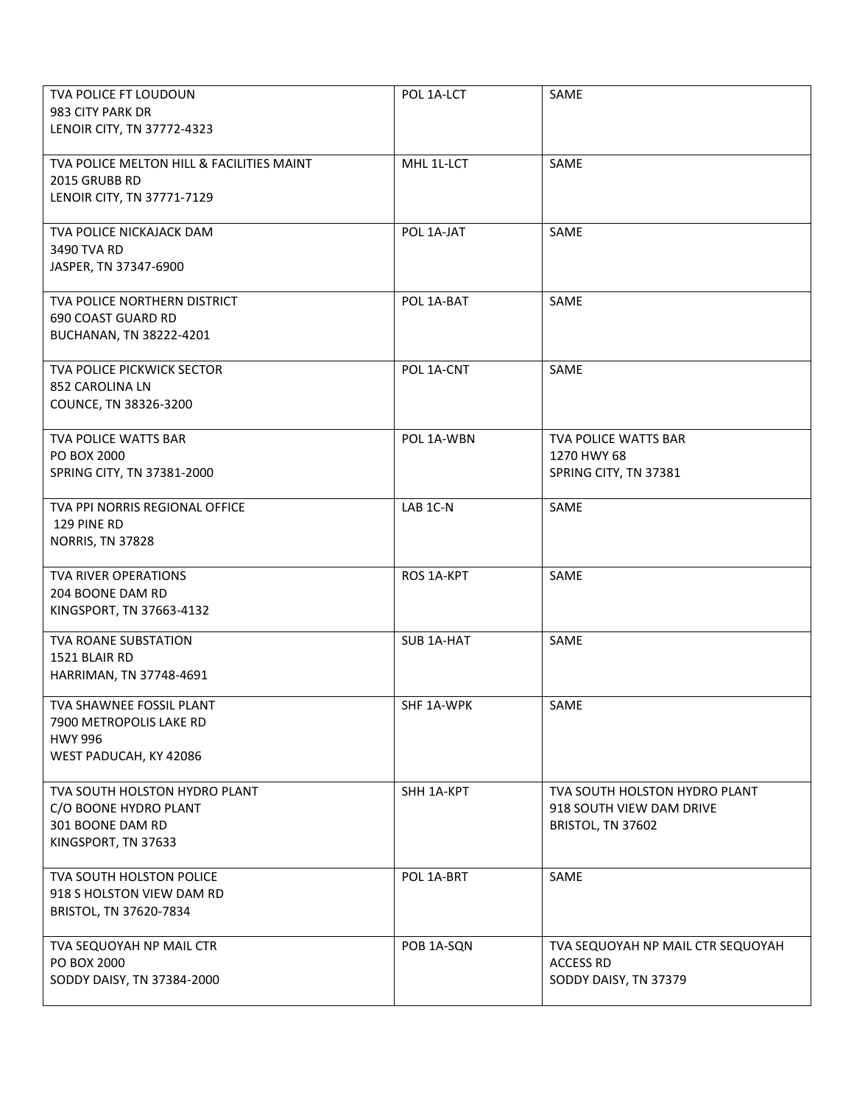| TVA POLICE FT LOUDOUN<br>983 CITY PARK DR<br>LENOIR CITY, TN 37772-4323                           | POL 1A-LCT        | SAME                                                                           |
|---------------------------------------------------------------------------------------------------|-------------------|--------------------------------------------------------------------------------|
| TVA POLICE MELTON HILL & FACILITIES MAINT<br>2015 GRUBB RD<br>LENOIR CITY, TN 37771-7129          | MHL 1L-LCT        | SAME                                                                           |
| TVA POLICE NICKAJACK DAM<br>3490 TVA RD<br>JASPER, TN 37347-6900                                  | POL 1A-JAT        | SAME                                                                           |
| TVA POLICE NORTHERN DISTRICT<br>690 COAST GUARD RD<br>BUCHANAN, TN 38222-4201                     | POL 1A-BAT        | SAME                                                                           |
| TVA POLICE PICKWICK SECTOR<br>852 CAROLINA LN<br>COUNCE, TN 38326-3200                            | POL 1A-CNT        | SAME                                                                           |
| TVA POLICE WATTS BAR<br>PO BOX 2000<br>SPRING CITY, TN 37381-2000                                 | POL 1A-WBN        | TVA POLICE WATTS BAR<br>1270 HWY 68<br>SPRING CITY, TN 37381                   |
| TVA PPI NORRIS REGIONAL OFFICE<br>129 PINE RD<br><b>NORRIS, TN 37828</b>                          | LAB 1C-N          | SAME                                                                           |
| TVA RIVER OPERATIONS<br>204 BOONE DAM RD<br>KINGSPORT, TN 37663-4132                              | ROS 1A-KPT        | SAME                                                                           |
| <b>TVA ROANE SUBSTATION</b><br>1521 BLAIR RD<br>HARRIMAN, TN 37748-4691                           | <b>SUB 1A-HAT</b> | SAME                                                                           |
| TVA SHAWNEE FOSSIL PLANT<br>7900 METROPOLIS LAKE RD<br><b>HWY 996</b><br>WEST PADUCAH, KY 42086   | SHF 1A-WPK        | SAME                                                                           |
| TVA SOUTH HOLSTON HYDRO PLANT<br>C/O BOONE HYDRO PLANT<br>301 BOONE DAM RD<br>KINGSPORT, TN 37633 | SHH 1A-KPT        | TVA SOUTH HOLSTON HYDRO PLANT<br>918 SOUTH VIEW DAM DRIVE<br>BRISTOL, TN 37602 |
| TVA SOUTH HOLSTON POLICE<br>918 S HOLSTON VIEW DAM RD<br>BRISTOL, TN 37620-7834                   | POL 1A-BRT        | SAME                                                                           |
| TVA SEQUOYAH NP MAIL CTR<br>PO BOX 2000<br>SODDY DAISY, TN 37384-2000                             | POB 1A-SQN        | TVA SEQUOYAH NP MAIL CTR SEQUOYAH<br><b>ACCESS RD</b><br>SODDY DAISY, TN 37379 |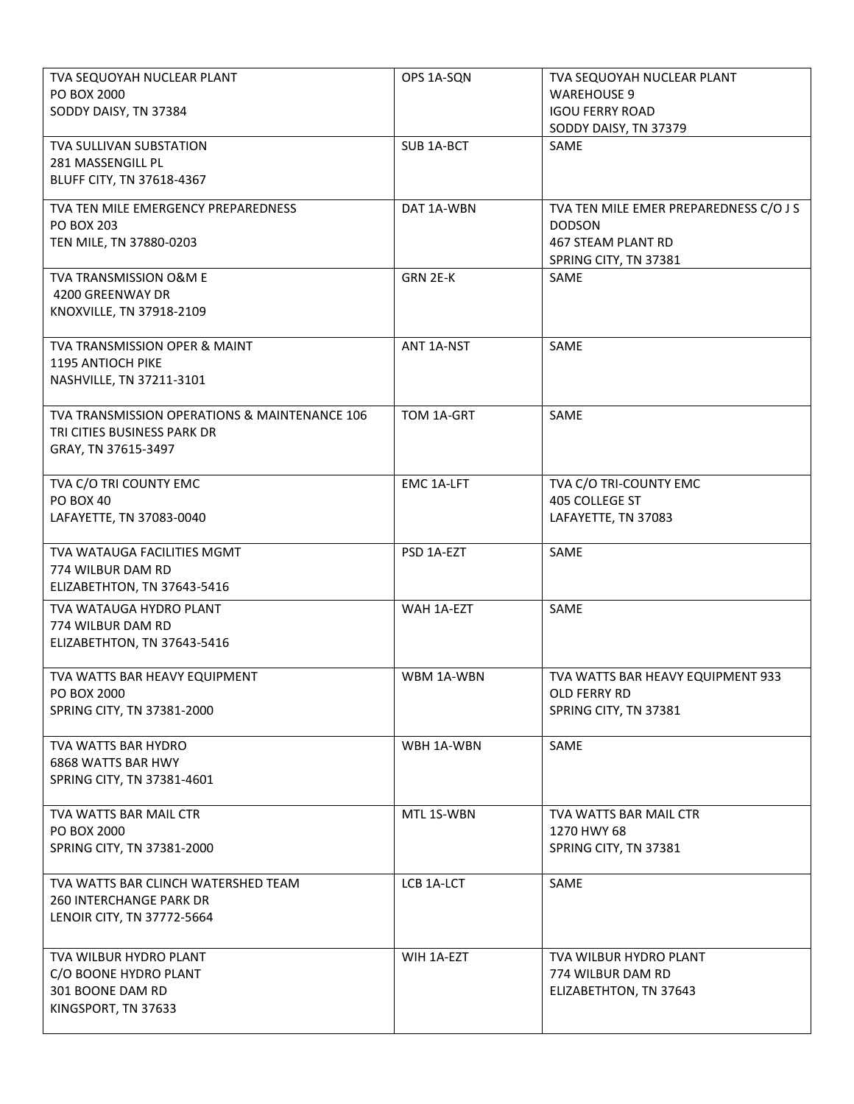| TVA SEQUOYAH NUCLEAR PLANT<br>PO BOX 2000                                                           | OPS 1A-SQN        | TVA SEQUOYAH NUCLEAR PLANT<br><b>WAREHOUSE 9</b>                           |
|-----------------------------------------------------------------------------------------------------|-------------------|----------------------------------------------------------------------------|
| SODDY DAISY, TN 37384                                                                               |                   | <b>IGOU FERRY ROAD</b><br>SODDY DAISY, TN 37379                            |
| TVA SULLIVAN SUBSTATION<br>281 MASSENGILL PL                                                        | SUB 1A-BCT        | SAME                                                                       |
| BLUFF CITY, TN 37618-4367                                                                           |                   |                                                                            |
| TVA TEN MILE EMERGENCY PREPAREDNESS<br><b>PO BOX 203</b>                                            | DAT 1A-WBN        | TVA TEN MILE EMER PREPAREDNESS C/O J S<br><b>DODSON</b>                    |
| TEN MILE, TN 37880-0203                                                                             |                   | <b>467 STEAM PLANT RD</b><br>SPRING CITY, TN 37381                         |
| TVA TRANSMISSION O&M E<br>4200 GREENWAY DR<br>KNOXVILLE, TN 37918-2109                              | GRN 2E-K          | SAME                                                                       |
| TVA TRANSMISSION OPER & MAINT<br>1195 ANTIOCH PIKE<br>NASHVILLE, TN 37211-3101                      | ANT 1A-NST        | SAME                                                                       |
| TVA TRANSMISSION OPERATIONS & MAINTENANCE 106<br>TRI CITIES BUSINESS PARK DR<br>GRAY, TN 37615-3497 | TOM 1A-GRT        | SAME                                                                       |
| TVA C/O TRI COUNTY EMC<br><b>PO BOX 40</b><br>LAFAYETTE, TN 37083-0040                              | <b>EMC 1A-LFT</b> | TVA C/O TRI-COUNTY EMC<br>405 COLLEGE ST<br>LAFAYETTE, TN 37083            |
| TVA WATAUGA FACILITIES MGMT<br>774 WILBUR DAM RD<br>ELIZABETHTON, TN 37643-5416                     | PSD 1A-EZT        | SAME                                                                       |
| TVA WATAUGA HYDRO PLANT<br>774 WILBUR DAM RD<br>ELIZABETHTON, TN 37643-5416                         | WAH 1A-EZT        | SAME                                                                       |
| TVA WATTS BAR HEAVY EQUIPMENT<br>PO BOX 2000<br>SPRING CITY, TN 37381-2000                          | WBM 1A-WBN        | TVA WATTS BAR HEAVY EQUIPMENT 933<br>OLD FERRY RD<br>SPRING CITY, TN 37381 |
| TVA WATTS BAR HYDRO<br>6868 WATTS BAR HWY<br>SPRING CITY, TN 37381-4601                             | WBH 1A-WBN        | SAME                                                                       |
| TVA WATTS BAR MAIL CTR<br>PO BOX 2000                                                               | MTL 1S-WBN        | <b>TVA WATTS BAR MAIL CTR</b><br>1270 HWY 68                               |
| SPRING CITY, TN 37381-2000                                                                          |                   | SPRING CITY, TN 37381                                                      |
| TVA WATTS BAR CLINCH WATERSHED TEAM<br><b>260 INTERCHANGE PARK DR</b><br>LENOIR CITY, TN 37772-5664 | LCB 1A-LCT        | SAME                                                                       |
| TVA WILBUR HYDRO PLANT<br>C/O BOONE HYDRO PLANT<br>301 BOONE DAM RD                                 | WIH 1A-EZT        | TVA WILBUR HYDRO PLANT<br>774 WILBUR DAM RD<br>ELIZABETHTON, TN 37643      |
| KINGSPORT, TN 37633                                                                                 |                   |                                                                            |